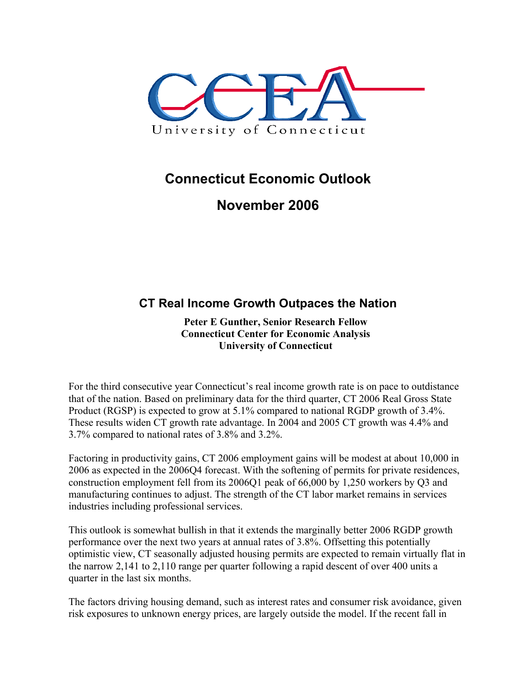

## **Connecticut Economic Outlook**

## **November 2006**

## **CT Real Income Growth Outpaces the Nation**

**Peter E Gunther, Senior Research Fellow Connecticut Center for Economic Analysis University of Connecticut** 

For the third consecutive year Connecticut's real income growth rate is on pace to outdistance that of the nation. Based on preliminary data for the third quarter, CT 2006 Real Gross State Product (RGSP) is expected to grow at 5.1% compared to national RGDP growth of 3.4%. These results widen CT growth rate advantage. In 2004 and 2005 CT growth was 4.4% and 3.7% compared to national rates of 3.8% and 3.2%.

Factoring in productivity gains, CT 2006 employment gains will be modest at about 10,000 in 2006 as expected in the 2006Q4 forecast. With the softening of permits for private residences, construction employment fell from its 2006Q1 peak of 66,000 by 1,250 workers by Q3 and manufacturing continues to adjust. The strength of the CT labor market remains in services industries including professional services.

This outlook is somewhat bullish in that it extends the marginally better 2006 RGDP growth performance over the next two years at annual rates of 3.8%. Offsetting this potentially optimistic view, CT seasonally adjusted housing permits are expected to remain virtually flat in the narrow 2,141 to 2,110 range per quarter following a rapid descent of over 400 units a quarter in the last six months.

The factors driving housing demand, such as interest rates and consumer risk avoidance, given risk exposures to unknown energy prices, are largely outside the model. If the recent fall in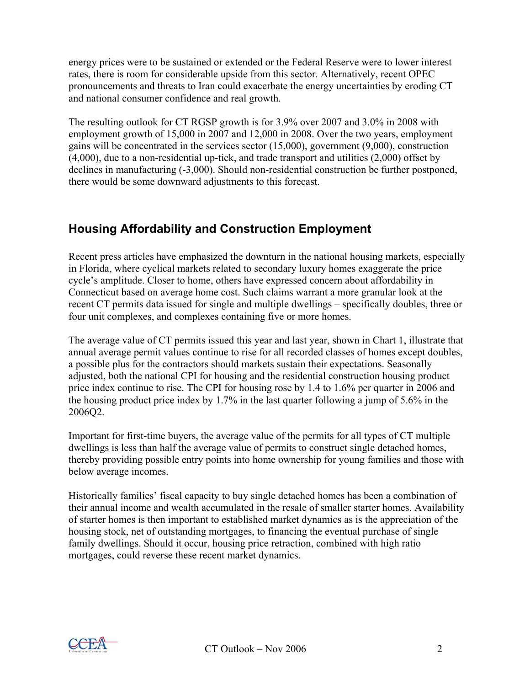energy prices were to be sustained or extended or the Federal Reserve were to lower interest rates, there is room for considerable upside from this sector. Alternatively, recent OPEC pronouncements and threats to Iran could exacerbate the energy uncertainties by eroding CT and national consumer confidence and real growth.

The resulting outlook for CT RGSP growth is for 3.9% over 2007 and 3.0% in 2008 with employment growth of 15,000 in 2007 and 12,000 in 2008. Over the two years, employment gains will be concentrated in the services sector (15,000), government (9,000), construction (4,000), due to a non-residential up-tick, and trade transport and utilities (2,000) offset by declines in manufacturing (-3,000). Should non-residential construction be further postponed, there would be some downward adjustments to this forecast.

## **Housing Affordability and Construction Employment**

Recent press articles have emphasized the downturn in the national housing markets, especially in Florida, where cyclical markets related to secondary luxury homes exaggerate the price cycle's amplitude. Closer to home, others have expressed concern about affordability in Connecticut based on average home cost. Such claims warrant a more granular look at the recent CT permits data issued for single and multiple dwellings – specifically doubles, three or four unit complexes, and complexes containing five or more homes.

The average value of CT permits issued this year and last year, shown in Chart 1, illustrate that annual average permit values continue to rise for all recorded classes of homes except doubles, a possible plus for the contractors should markets sustain their expectations. Seasonally adjusted, both the national CPI for housing and the residential construction housing product price index continue to rise. The CPI for housing rose by 1.4 to 1.6% per quarter in 2006 and the housing product price index by 1.7% in the last quarter following a jump of 5.6% in the 2006Q2.

Important for first-time buyers, the average value of the permits for all types of CT multiple dwellings is less than half the average value of permits to construct single detached homes, thereby providing possible entry points into home ownership for young families and those with below average incomes.

Historically families' fiscal capacity to buy single detached homes has been a combination of their annual income and wealth accumulated in the resale of smaller starter homes. Availability of starter homes is then important to established market dynamics as is the appreciation of the housing stock, net of outstanding mortgages, to financing the eventual purchase of single family dwellings. Should it occur, housing price retraction, combined with high ratio mortgages, could reverse these recent market dynamics.

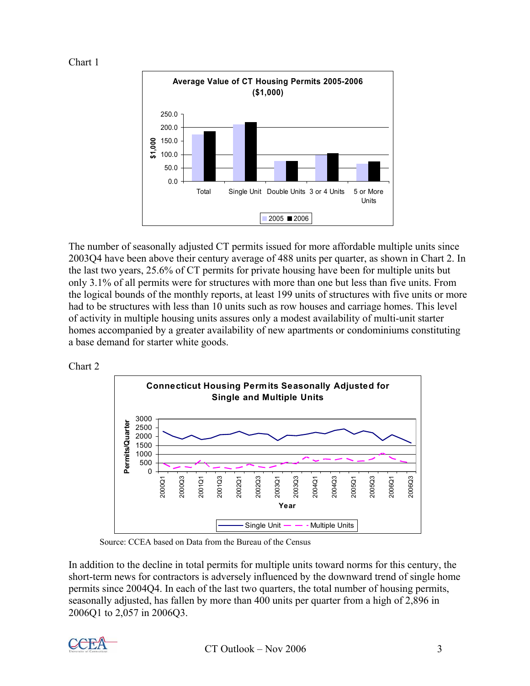



The number of seasonally adjusted CT permits issued for more affordable multiple units since 2003Q4 have been above their century average of 488 units per quarter, as shown in Chart 2. In the last two years, 25.6% of CT permits for private housing have been for multiple units but only 3.1% of all permits were for structures with more than one but less than five units. From the logical bounds of the monthly reports, at least 199 units of structures with five units or more had to be structures with less than 10 units such as row houses and carriage homes. This level of activity in multiple housing units assures only a modest availability of multi-unit starter homes accompanied by a greater availability of new apartments or condominiums constituting a base demand for starter white goods.





Source: CCEA based on Data from the Bureau of the Census

In addition to the decline in total permits for multiple units toward norms for this century, the short-term news for contractors is adversely influenced by the downward trend of single home permits since 2004Q4. In each of the last two quarters, the total number of housing permits, seasonally adjusted, has fallen by more than 400 units per quarter from a high of 2,896 in 2006Q1 to 2,057 in 2006Q3.